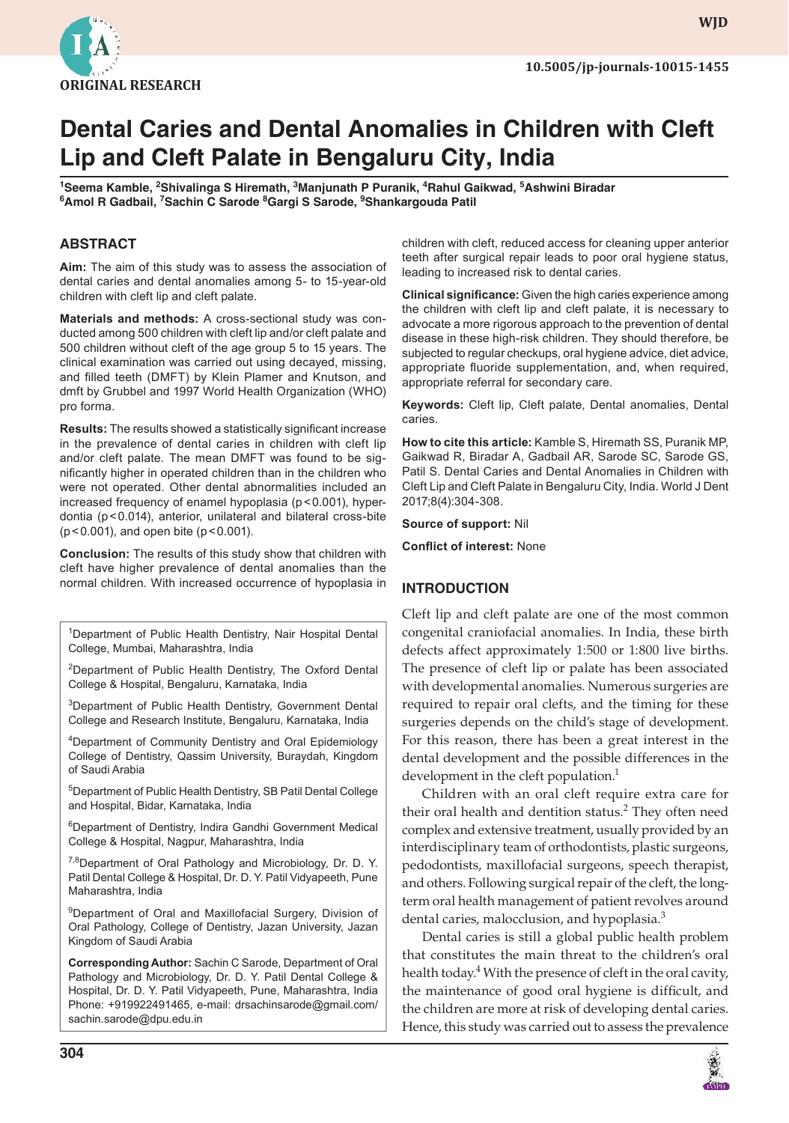

**WJD**

# **Dental caries and Dental Anomalies in children with cleft Lip and cleft Palate in Bengaluru city, India**

<sup>1</sup>Seema Kamble, <sup>2</sup>Shivalinga S Hiremath, <sup>3</sup>Manjunath P Puranik, <sup>4</sup>Rahul Gaikwad, <sup>5</sup>Ashwini Biradar **6 Amol R Gadbail, 7 Sachin c Sarode <sup>8</sup> Gargi S Sarode, 9 Shankargouda Patil** 

#### **ABSTRAcT**

**Aim:** The aim of this study was to assess the association of dental caries and dental anomalies among 5- to 15-year-old children with cleft lip and cleft palate.

**Materials and methods:** A cross-sectional study was conducted among 500 children with cleft lip and/or cleft palate and 500 children without cleft of the age group 5 to 15 years. The clinical examination was carried out using decayed, missing, and filled teeth (DMFT) by Klein Plamer and Knutson, and dmft by Grubbel and 1997 World Health Organization (WHO) pro forma.

**Results:** The results showed a statistically significant increase in the prevalence of dental caries in children with cleft lip and/or cleft palate. The mean DMFT was found to be significantly higher in operated children than in the children who were not operated. Other dental abnormalities included an increased frequency of enamel hypoplasia (p < 0.001), hyperdontia (p < 0.014), anterior, unilateral and bilateral cross-bite (p < 0.001), and open bite (p < 0.001).

**Conclusion:** The results of this study show that children with cleft have higher prevalence of dental anomalies than the normal children. With increased occurrence of hypoplasia in

<sup>1</sup>Department of Public Health Dentistry, Nair Hospital Dental College, Mumbai, Maharashtra, India

<sup>2</sup>Department of Public Health Dentistry, The Oxford Dental College & Hospital, Bengaluru, Karnataka, India

<sup>3</sup>Department of Public Health Dentistry, Government Dental College and Research Institute, Bengaluru, Karnataka, India

4 Department of Community Dentistry and Oral Epidemiology College of Dentistry, Qassim University, Buraydah, Kingdom of Saudi Arabia

5 Department of Public Health Dentistry, SB Patil Dental College and Hospital, Bidar, Karnataka, India

6 Department of Dentistry, Indira Gandhi Government Medical College & Hospital, Nagpur, Maharashtra, India

<sup>7,8</sup> Department of Oral Pathology and Microbiology, Dr. D. Y. Patil Dental College & Hospital, Dr. D. Y. Patil Vidyapeeth, Pune Maharashtra, India

<sup>9</sup> Department of Oral and Maxillofacial Surgery, Division of Oral Pathology, College of Dentistry, Jazan University, Jazan Kingdom of Saudi Arabia

**Corresponding Author:** Sachin C Sarode, Department of Oral Pathology and Microbiology, Dr. D. Y. Patil Dental College & Hospital, Dr. D. Y. Patil Vidyapeeth, Pune, Maharashtra, India Phone: +919922491465, e-mail: drsachinsarode@gmail.com/ sachin.sarode@dpu.edu.in

children with cleft, reduced access for cleaning upper anterior teeth after surgical repair leads to poor oral hygiene status, leading to increased risk to dental caries.

**Clinical significance:** Given the high caries experience among the children with cleft lip and cleft palate, it is necessary to advocate a more rigorous approach to the prevention of dental disease in these high-risk children. They should therefore, be subjected to regular checkups, oral hygiene advice, diet advice, appropriate fluoride supplementation, and, when required, appropriate referral for secondary care.

**Keywords:** Cleft lip, Cleft palate, Dental anomalies, Dental caries.

**How to cite this article:** Kamble S, Hiremath SS, Puranik MP, Gaikwad R, Biradar A, Gadbail AR, Sarode SC, Sarode GS, Patil S. Dental Caries and Dental Anomalies in Children with Cleft Lip and Cleft Palate in Bengaluru City, India. World J Dent 2017;8(4):304-308.

**Source of support:** Nil

**Conflict of interest: None** 

#### **INTRODUcTION**

 Cleft lip and cleft palate are one of the most common congenital craniofacial anomalies. In India, these birth defects affect approximately 1:500 or 1:800 live births. The presence of cleft lip or palate has been associated with developmental anomalies. Numerous surgeries are required to repair oral clefts, and the timing for these surgeries depends on the child's stage of development. For this reason, there has been a great interest in the dental development and the possible differences in the development in the cleft population.<sup>1</sup>

 Children with an oral cleft require extra care for their oral health and dentition status.<sup>2</sup> They often need complex and extensive treatment, usually provided by an interdisciplinary team of orthodontists, plastic surgeons, pedodontists, maxillofacial surgeons, speech therapist, and others. Following surgical repair of the cleft, the longterm oral health management of patient revolves around dental caries, malocclusion, and hypoplasia.<sup>3</sup>

 Dental caries is still a global public health problem that constitutes the main threat to the children's oral health today.<sup>4</sup> With the presence of cleft in the oral cavity, the maintenance of good oral hygiene is difficult, and the children are more at risk of developing dental caries. Hence, this study was carried out to assess the prevalence

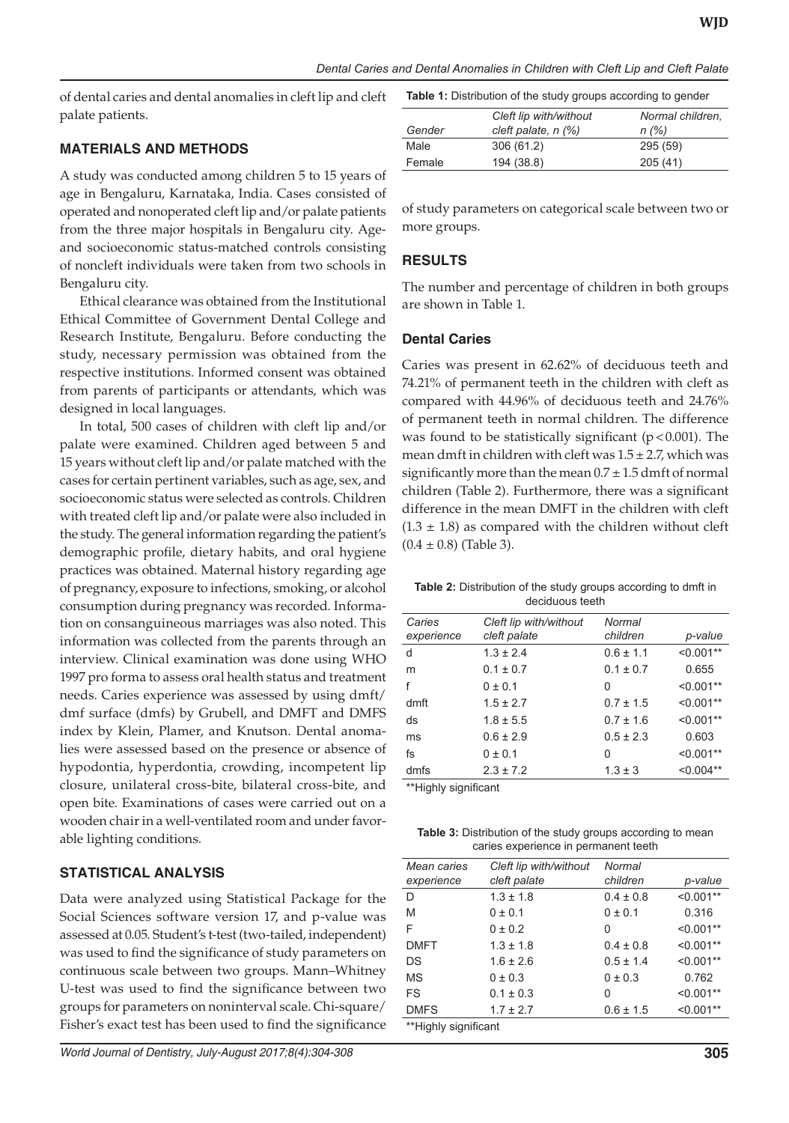of dental caries and dental anomalies in cleft lip and cleft palate patients.

#### **MATERIALS AND METHODS**

A study was conducted among children 5 to 15 years of age in Bengaluru, Karnataka, India. Cases consisted of operated and nonoperated cleft lip and/or palate patients from the three major hospitals in Bengaluru city. Ageand socioeconomic status-matched controls consisting of noncleft individuals were taken from two schools in Bengaluru city.

Ethical clearance was obtained from the Institutional Ethical Committee of Government Dental College and Research Institute, Bengaluru. Before conducting the study, necessary permission was obtained from the respective institutions. Informed consent was obtained from parents of participants or attendants, which was designed in local languages.

In total, 500 cases of children with cleft lip and/or palate were examined. Children aged between 5 and 15 years without cleft lip and/or palate matched with the cases for certain pertinent variables, such as age, sex, and socioeconomic status were selected as controls. Children with treated cleft lip and/or palate were also included in the study. The general information regarding the patient's demographic profile, dietary habits, and oral hygiene practices was obtained. Maternal history regarding age of pregnancy, exposure to infections, smoking, or alcohol consumption during pregnancy was recorded. Information on consanguineous marriages was also noted. This information was collected from the parents through an interview. Clinical examination was done using WHO 1997 pro forma to assess oral health status and treatment needs. Caries experience was assessed by using dmft/ dmf surface (dmfs) by Grubell, and DMFT and DMFS index by Klein, Plamer, and Knutson. Dental anomalies were assessed based on the presence or absence of hypodontia, hyperdontia, crowding, incompetent lip closure, unilateral cross-bite, bilateral cross-bite, and open bite. Examinations of cases were carried out on a wooden chair in a well-ventilated room and under favorable lighting conditions.

## **Statistical Analysis**

Data were analyzed using Statistical Package for the Social Sciences software version 17, and p-value was assessed at 0.05. Student's t-test (two-tailed, independent) was used to find the significance of study parameters on continuous scale between two groups. Mann–Whitney U-test was used to find the significance between two groups for parameters on noninterval scale. Chi-square/ Fisher's exact test has been used to find the significance

**Table 1:** Distribution of the study groups according to gender

|        | Cleft lip with/without   | Normal children. |
|--------|--------------------------|------------------|
| Gender | cleft palate, $n$ $(\%)$ | n(%)             |
| Male   | 306 (61.2)               | 295(59)          |
| Female | 194 (38.8)               | 205(41)          |

of study parameters on categorical scale between two or more groups.

#### **RESULTS**

The number and percentage of children in both groups are shown in Table 1.

#### **Dental Caries**

Caries was present in 62.62% of deciduous teeth and 74.21% of permanent teeth in the children with cleft as compared with 44.96% of deciduous teeth and 24.76% of permanent teeth in normal children. The difference was found to be statistically significant ( $p < 0.001$ ). The mean dmft in children with cleft was  $1.5 \pm 2.7$ , which was significantly more than the mean  $0.7 \pm 1.5$  dmft of normal children (Table 2). Furthermore, there was a significant difference in the mean DMFT in the children with cleft  $(1.3 \pm 1.8)$  as compared with the children without cleft  $(0.4 \pm 0.8)$  (Table 3).

#### **Table 2:** Distribution of the study groups according to dmft in deciduous teeth

| Caries<br>experience | Cleft lip with/without<br>cleft palate | Normal<br>children | p-value     |
|----------------------|----------------------------------------|--------------------|-------------|
| d                    | $1.3 \pm 2.4$                          | $0.6 \pm 1.1$      | $< 0.001**$ |
| m                    | $0.1 \pm 0.7$                          | $0.1 \pm 0.7$      | 0.655       |
| f                    | $0 \pm 0.1$                            | 0                  | $< 0.001**$ |
| dmft                 | $1.5 \pm 2.7$                          | $0.7 \pm 1.5$      | $< 0.001**$ |
| ds                   | $1.8 \pm 5.5$                          | $0.7 \pm 1.6$      | $< 0.001**$ |
| ms                   | $0.6 \pm 2.9$                          | $0.5 \pm 2.3$      | 0.603       |
| fs                   | $0 \pm 0.1$                            | 0                  | $< 0.001**$ |
| dmfs                 | $2.3 \pm 7.2$                          | $1.3 \pm 3$        | $< 0.004**$ |

\*\*Highly significant

**Table 3:** Distribution of the study groups according to mean caries experience in permanent teeth

| Mean caries<br>experience | Cleft lip with/without<br>cleft palate | Normal<br>children | p-value     |  |  |
|---------------------------|----------------------------------------|--------------------|-------------|--|--|
| D                         | $1.3 \pm 1.8$                          | $0.4 \pm 0.8$      | $< 0.001**$ |  |  |
| M                         | $0 \pm 0.1$                            | $0 \pm 0.1$        | 0.316       |  |  |
| F                         | $0 \pm 0.2$                            | 0                  | $< 0.001**$ |  |  |
| <b>DMFT</b>               | $1.3 \pm 1.8$                          | $0.4 \pm 0.8$      | $< 0.001**$ |  |  |
| DS                        | $1.6 + 2.6$                            | $0.5 + 1.4$        | $< 0.001**$ |  |  |
| <b>MS</b>                 | $0 \pm 0.3$                            | $0 \pm 0.3$        | 0.762       |  |  |
| FS                        | $0.1 \pm 0.3$                          | 0                  | $< 0.001**$ |  |  |
| <b>DMFS</b>               | $1.7 \pm 2.7$                          | $0.6 \pm 1.5$      | $< 0.001**$ |  |  |
| **Highly significant      |                                        |                    |             |  |  |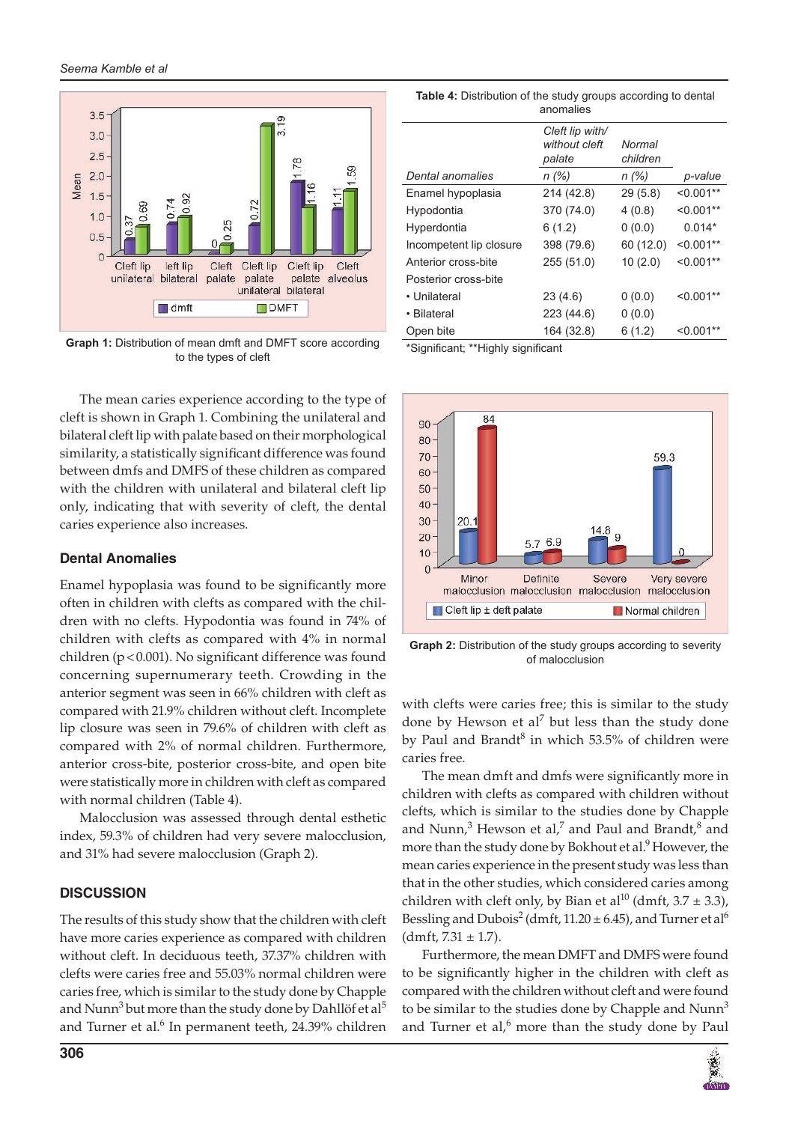

Graph 1: Distribution of mean dmft and DMFT score according **Franch 2:** Significant; \*\*Highly significant to the types of cleft

 The mean caries experience according to the type of cleft is shown in Graph 1. Combining the unilateral and bilateral cleft lip with palate based on their morphological similarity, a statistically significant difference was found between dmfs and DMFS of these children as compared with the children with unilateral and bilateral cleft lip only, indicating that with severity of cleft, the dental caries experience also increases.

#### **Dental Anomalies**

Enamel hypoplasia was found to be significantly more often in children with clefts as compared with the children with no clefts. Hypodontia was found in 74% of children with clefts as compared with 4% in normal children ( $p < 0.001$ ). No significant difference was found concerning supernumerary teeth. Crowding in the anterior segment was seen in 66% children with cleft as compared with 21.9% children without cleft. Incomplete lip closure was seen in 79.6% of children with cleft as compared with 2% of normal children. Furthermore, anterior cross-bite, posterior cross-bite, and open bite were statistically more in children with cleft as compared with normal children (Table 4).

 Malocclusion was assessed through dental esthetic index, 59.3% of children had very severe malocclusion, and 31% had severe malocclusion (Graph 2).

#### **DIScUSSION**

 The results of this study show that the children with cleft have more caries experience as compared with children without cleft. In deciduous teeth, 37.37% children with clefts were caries free and 55.03% normal children were caries free, which is similar to the study done by Chapple and Nunn<sup>3</sup> but more than the study done by Dahllöf et al<sup>5</sup> and Turner et al. $6$  In permanent teeth, 24.39% children

**Table 4:** Distribution of the study groups according to dental anomalies

|                         | Cleft lip with/<br>without cleft<br>palate | Normal<br>children |             |
|-------------------------|--------------------------------------------|--------------------|-------------|
| Dental anomalies        | n (%)                                      | n(%)               | p-value     |
| Enamel hypoplasia       | 214 (42.8)                                 | 29(5.8)            | $< 0.001**$ |
| Hypodontia              | 370 (74.0)                                 | 4(0.8)             | $< 0.001**$ |
| Hyperdontia             | 6(1.2)                                     | 0(0.0)             | $0.014*$    |
| Incompetent lip closure | 398 (79.6)                                 | 60 (12.0)          | $< 0.001**$ |
| Anterior cross-bite     | 255 (51.0)                                 | 10(2.0)            | $< 0.001**$ |
| Posterior cross-bite    |                                            |                    |             |
| • Unilateral            | 23(4.6)                                    | 0(0.0)             | $< 0.001**$ |
| • Bilateral             | 223 (44.6)                                 | 0(0.0)             |             |
| Open bite               | 164 (32.8)                                 | 6(1.2)             | $< 0.001**$ |



**Graph 2:** Distribution of the study groups according to severity of malocclusion

with clefts were caries free; this is similar to the study done by Hewson et al<sup>7</sup> but less than the study done by Paul and Brandt<sup>8</sup> in which 53.5% of children were caries free.

The mean dmft and dmfs were significantly more in children with clefts as compared with children without clefts, which is similar to the studies done by Chapple and Nunn,<sup>3</sup> Hewson et al,<sup>7</sup> and Paul and Brandt,<sup>8</sup> and more than the study done by Bokhout et al.<sup>9</sup> However, the mean caries experience in the present study was less than that in the other studies, which considered caries among children with cleft only, by Bian et al<sup>10</sup> (dmft,  $3.7 \pm 3.3$ ), Bessling and Dubois<sup>2</sup> (dmft,  $11.20 \pm 6.45$ ), and Turner et al<sup>6</sup>  $(dmft, 7.31 \pm 1.7)$ .

 Furthermore, the mean DMFT and DMFS were found to be significantly higher in the children with cleft as compared with the children without cleft and were found to be similar to the studies done by Chapple and  $Num<sup>3</sup>$ and Turner et al, $6$  more than the study done by Paul

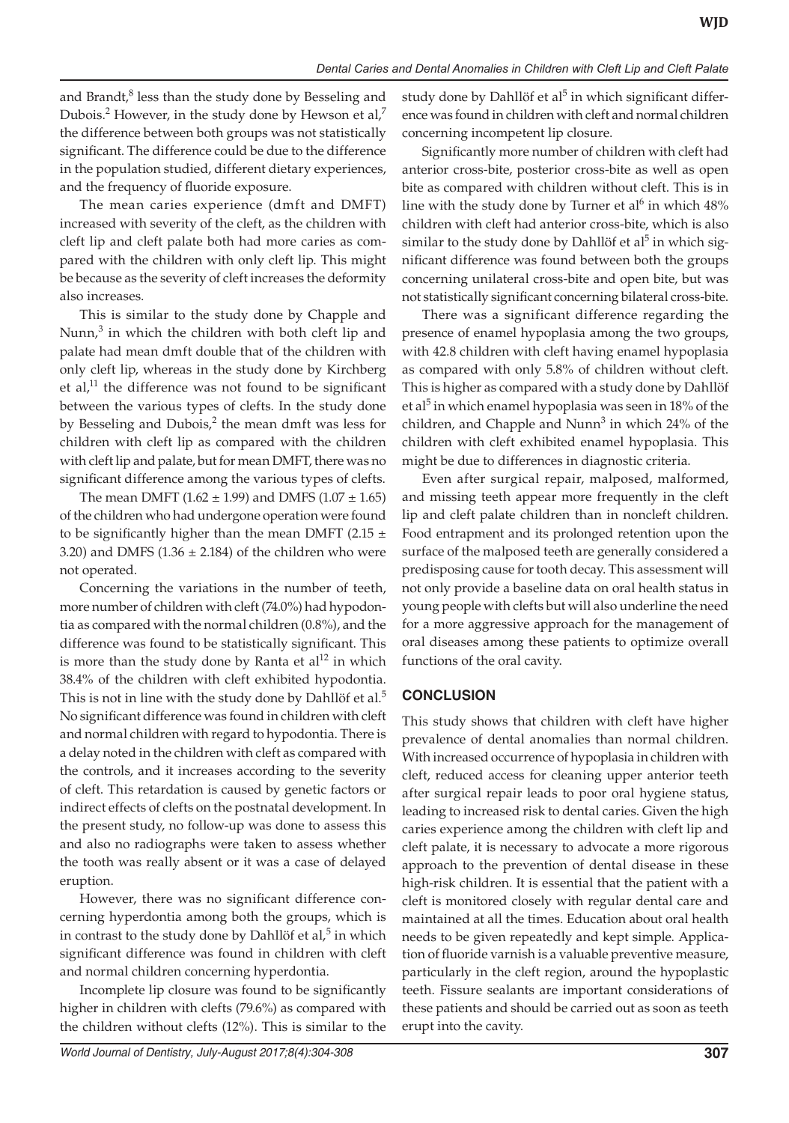and Brandt,<sup>8</sup> less than the study done by Besseling and Dubois.<sup>2</sup> However, in the study done by Hewson et al,<sup>7</sup> the difference between both groups was not statistically significant. The difference could be due to the difference in the population studied, different dietary experiences, and the frequency of fluoride exposure.

The mean caries experience (dmft and DMFT) increased with severity of the cleft, as the children with cleft lip and cleft palate both had more caries as compared with the children with only cleft lip. This might be because as the severity of cleft increases the deformity also increases.

This is similar to the study done by Chapple and Nunn, $3$  in which the children with both cleft lip and palate had mean dmft double that of the children with only cleft lip, whereas in the study done by Kirchberg et al, $^{11}$  the difference was not found to be significant between the various types of clefts. In the study done by Besseling and Dubois, $2$  the mean dmft was less for children with cleft lip as compared with the children with cleft lip and palate, but for mean DMFT, there was no significant difference among the various types of clefts.

The mean DMFT (1.62  $\pm$  1.99) and DMFS (1.07  $\pm$  1.65) of the children who had undergone operation were found to be significantly higher than the mean DMFT (2.15  $\pm$ 3.20) and DMFS (1.36  $\pm$  2.184) of the children who were not operated.

Concerning the variations in the number of teeth, more number of children with cleft (74.0%) had hypodontia as compared with the normal children (0.8%), and the difference was found to be statistically significant. This is more than the study done by Ranta et  $al<sup>12</sup>$  in which 38.4% of the children with cleft exhibited hypodontia. This is not in line with the study done by Dahllöf et al.<sup>5</sup> No significant difference was found in children with cleft and normal children with regard to hypodontia. There is a delay noted in the children with cleft as compared with the controls, and it increases according to the severity of cleft. This retardation is caused by genetic factors or indirect effects of clefts on the postnatal development. In the present study, no follow-up was done to assess this and also no radiographs were taken to assess whether the tooth was really absent or it was a case of delayed eruption.

However, there was no significant difference concerning hyperdontia among both the groups, which is in contrast to the study done by Dahllöf et al, $5$  in which significant difference was found in children with cleft and normal children concerning hyperdontia.

Incomplete lip closure was found to be significantly higher in children with clefts (79.6%) as compared with the children without clefts (12%). This is similar to the

*World Journal of Dentistry, July-August 2017;8(4):304-308* **307**

study done by Dahllöf et al<sup>5</sup> in which significant difference was found in children with cleft and normal children concerning incompetent lip closure.

Significantly more number of children with cleft had anterior cross-bite, posterior cross-bite as well as open bite as compared with children without cleft. This is in line with the study done by Turner et al<sup>6</sup> in which  $48\%$ children with cleft had anterior cross-bite, which is also similar to the study done by Dahllöf et al<sup>5</sup> in which significant difference was found between both the groups concerning unilateral cross-bite and open bite, but was not statistically significant concerning bilateral cross-bite.

There was a significant difference regarding the presence of enamel hypoplasia among the two groups, with 42.8 children with cleft having enamel hypoplasia as compared with only 5.8% of children without cleft. This is higher as compared with a study done by Dahllöf et al<sup>5</sup> in which enamel hypoplasia was seen in 18% of the children, and Chapple and Nunn<sup>3</sup> in which 24% of the children with cleft exhibited enamel hypoplasia. This might be due to differences in diagnostic criteria.

Even after surgical repair, malposed, malformed, and missing teeth appear more frequently in the cleft lip and cleft palate children than in noncleft children. Food entrapment and its prolonged retention upon the surface of the malposed teeth are generally considered a predisposing cause for tooth decay. This assessment will not only provide a baseline data on oral health status in young people with clefts but will also underline the need for a more aggressive approach for the management of oral diseases among these patients to optimize overall functions of the oral cavity.

#### **CONCLUSION**

This study shows that children with cleft have higher prevalence of dental anomalies than normal children. With increased occurrence of hypoplasia in children with cleft, reduced access for cleaning upper anterior teeth after surgical repair leads to poor oral hygiene status, leading to increased risk to dental caries. Given the high caries experience among the children with cleft lip and cleft palate, it is necessary to advocate a more rigorous approach to the prevention of dental disease in these high-risk children. It is essential that the patient with a cleft is monitored closely with regular dental care and maintained at all the times. Education about oral health needs to be given repeatedly and kept simple. Application of fluoride varnish is a valuable preventive measure, particularly in the cleft region, around the hypoplastic teeth. Fissure sealants are important considerations of these patients and should be carried out as soon as teeth erupt into the cavity.